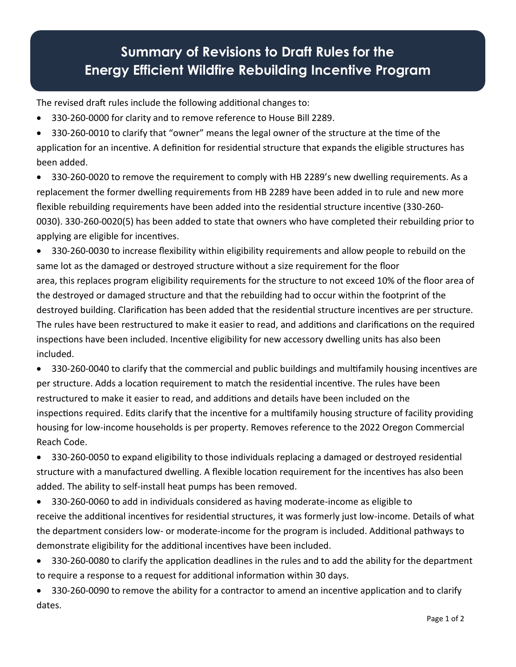## **Summary of Revisions to Draft Rules for the Energy Efficient Wildfire Rebuilding Incentive Program**

The revised draft rules include the following additional changes to: 

• 330-260-0000 for clarity and to remove reference to House Bill 2289. 

• 330-260-0010 to clarify that "owner" means the legal owner of the structure at the time of the application for an incentive. A definition for residential structure that expands the eligible structures has been added. 

• 330-260-0020 to remove the requirement to comply with HB 2289's new dwelling requirements. As a replacement the former dwelling requirements from HB 2289 have been added in to rule and new more flexible rebuilding requirements have been added into the residential structure incentive (330-260- 0030). 330-260-0020(5) has been added to state that owners who have completed their rebuilding prior to applying are eligible for incentives. 

• 330-260-0030 to increase flexibility within eligibility requirements and allow people to rebuild on the same lot as the damaged or destroyed structure without a size requirement for the floor area, this replaces program eligibility requirements for the structure to not exceed 10% of the floor area of the destroyed or damaged structure and that the rebuilding had to occur within the footprint of the destroyed building. Clarification has been added that the residential structure incentives are per structure. The rules have been restructured to make it easier to read, and additions and clarifications on the required inspections have been included. Incentive eligibility for new accessory dwelling units has also been included. 

• 330-260-0040 to clarify that the commercial and public buildings and multifamily housing incentives are per structure. Adds a location requirement to match the residential incentive. The rules have been restructured to make it easier to read, and additions and details have been included on the inspections required. Edits clarify that the incentive for a multifamily housing structure of facility providing housing for low-income households is per property. Removes reference to the 2022 Oregon Commercial Reach Code. 

• 330-260-0050 to expand eligibility to those individuals replacing a damaged or destroyed residential structure with a manufactured dwelling. A flexible location requirement for the incentives has also been added. The ability to self-install heat pumps has been removed. 

- 330-260-0060 to add in individuals considered as having moderate-income as eligible to receive the additional incentives for residential structures, it was formerly just low-income. Details of what the department considers low- or moderate-income for the program is included. Additional pathways to demonstrate eligibility for the additional incentives have been included.
- 330-260-0080 to clarify the application deadlines in the rules and to add the ability for the department to require a response to a request for additional information within 30 days.
- 330-260-0090 to remove the ability for a contractor to amend an incentive application and to clarify dates.